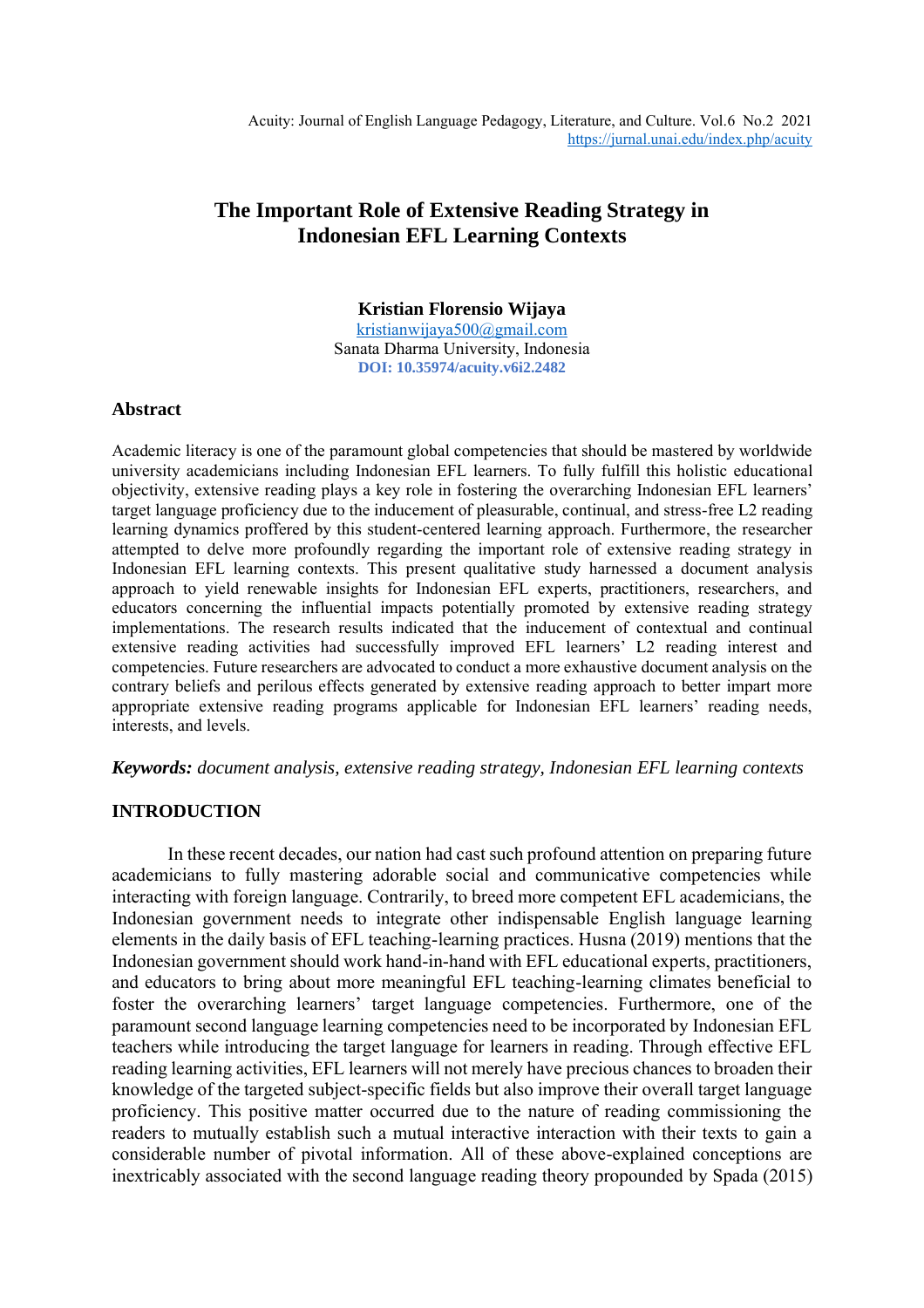# **The Important Role of Extensive Reading Strategy in Indonesian EFL Learning Contexts**

### **Kristian Florensio Wijaya** [kristianwijaya500@gmail.com](mailto:kristianwijaya500@gmail.com) Sanata Dharma University, Indonesia **DOI: 10.35974/acuity.v6i2.2482**

## **Abstract**

Academic literacy is one of the paramount global competencies that should be mastered by worldwide university academicians including Indonesian EFL learners. To fully fulfill this holistic educational objectivity, extensive reading plays a key role in fostering the overarching Indonesian EFL learners' target language proficiency due to the inducement of pleasurable, continual, and stress-free L2 reading learning dynamics proffered by this student-centered learning approach. Furthermore, the researcher attempted to delve more profoundly regarding the important role of extensive reading strategy in Indonesian EFL learning contexts. This present qualitative study harnessed a document analysis approach to yield renewable insights for Indonesian EFL experts, practitioners, researchers, and educators concerning the influential impacts potentially promoted by extensive reading strategy implementations. The research results indicated that the inducement of contextual and continual extensive reading activities had successfully improved EFL learners' L2 reading interest and competencies. Future researchers are advocated to conduct a more exhaustive document analysis on the contrary beliefs and perilous effects generated by extensive reading approach to better impart more appropriate extensive reading programs applicable for Indonesian EFL learners' reading needs, interests, and levels.

### *Keywords: document analysis, extensive reading strategy, Indonesian EFL learning contexts*

# **INTRODUCTION**

In these recent decades, our nation had cast such profound attention on preparing future academicians to fully mastering adorable social and communicative competencies while interacting with foreign language. Contrarily, to breed more competent EFL academicians, the Indonesian government needs to integrate other indispensable English language learning elements in the daily basis of EFL teaching-learning practices. Husna (2019) mentions that the Indonesian government should work hand-in-hand with EFL educational experts, practitioners, and educators to bring about more meaningful EFL teaching-learning climates beneficial to foster the overarching learners' target language competencies. Furthermore, one of the paramount second language learning competencies need to be incorporated by Indonesian EFL teachers while introducing the target language for learners in reading. Through effective EFL reading learning activities, EFL learners will not merely have precious chances to broaden their knowledge of the targeted subject-specific fields but also improve their overall target language proficiency. This positive matter occurred due to the nature of reading commissioning the readers to mutually establish such a mutual interactive interaction with their texts to gain a considerable number of pivotal information. All of these above-explained conceptions are inextricably associated with the second language reading theory propounded by Spada (2015)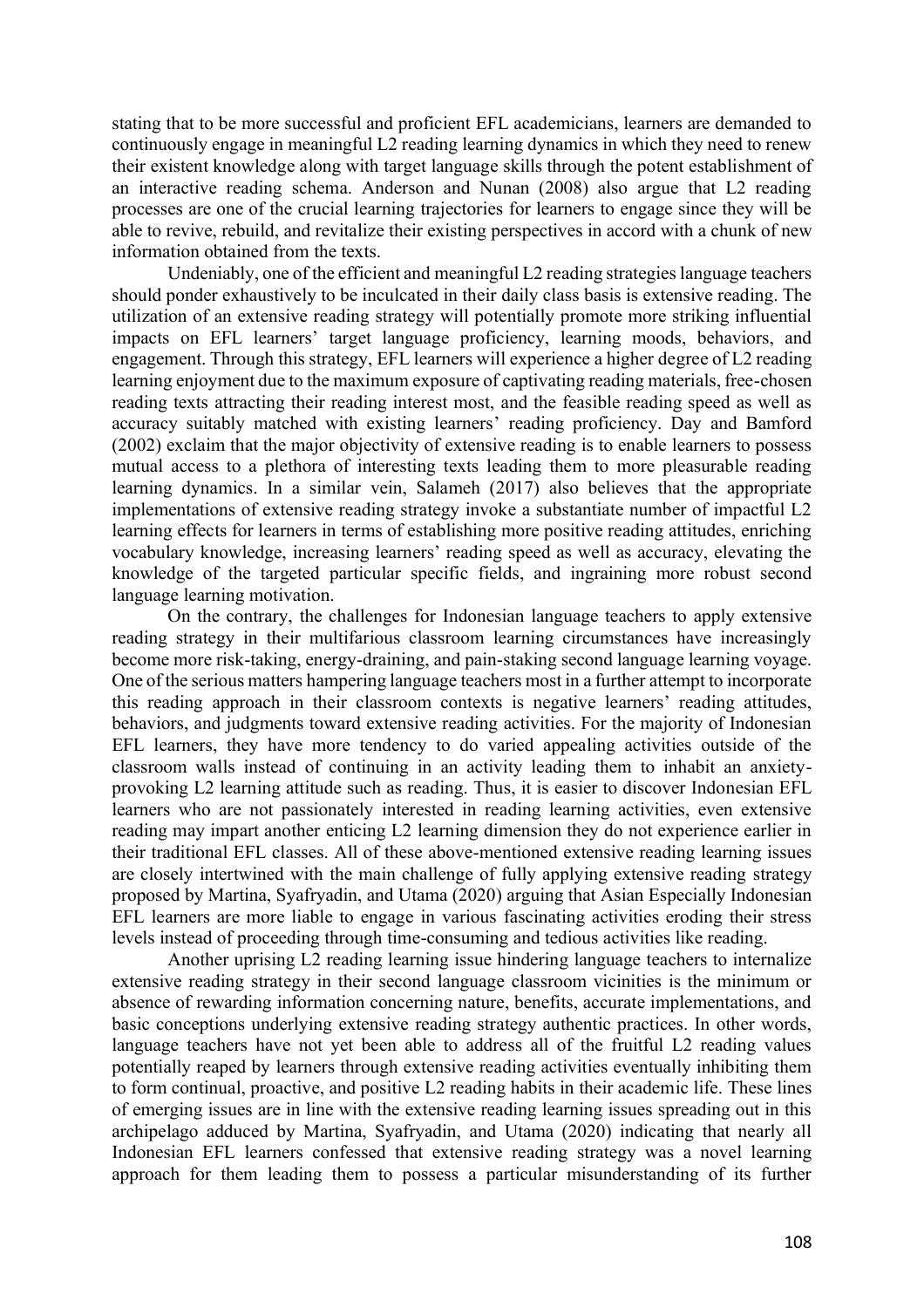stating that to be more successful and proficient EFL academicians, learners are demanded to continuously engage in meaningful L2 reading learning dynamics in which they need to renew their existent knowledge along with target language skills through the potent establishment of an interactive reading schema. Anderson and Nunan (2008) also argue that L2 reading processes are one of the crucial learning trajectories for learners to engage since they will be able to revive, rebuild, and revitalize their existing perspectives in accord with a chunk of new information obtained from the texts.

Undeniably, one of the efficient and meaningful L2 reading strategies language teachers should ponder exhaustively to be inculcated in their daily class basis is extensive reading. The utilization of an extensive reading strategy will potentially promote more striking influential impacts on EFL learners' target language proficiency, learning moods, behaviors, and engagement. Through this strategy, EFL learners will experience a higher degree of L2 reading learning enjoyment due to the maximum exposure of captivating reading materials, free-chosen reading texts attracting their reading interest most, and the feasible reading speed as well as accuracy suitably matched with existing learners' reading proficiency. Day and Bamford (2002) exclaim that the major objectivity of extensive reading is to enable learners to possess mutual access to a plethora of interesting texts leading them to more pleasurable reading learning dynamics. In a similar vein, Salameh (2017) also believes that the appropriate implementations of extensive reading strategy invoke a substantiate number of impactful L2 learning effects for learners in terms of establishing more positive reading attitudes, enriching vocabulary knowledge, increasing learners' reading speed as well as accuracy, elevating the knowledge of the targeted particular specific fields, and ingraining more robust second language learning motivation.

On the contrary, the challenges for Indonesian language teachers to apply extensive reading strategy in their multifarious classroom learning circumstances have increasingly become more risk-taking, energy-draining, and pain-staking second language learning voyage. One of the serious matters hampering language teachers most in a further attempt to incorporate this reading approach in their classroom contexts is negative learners' reading attitudes, behaviors, and judgments toward extensive reading activities. For the majority of Indonesian EFL learners, they have more tendency to do varied appealing activities outside of the classroom walls instead of continuing in an activity leading them to inhabit an anxietyprovoking L2 learning attitude such as reading. Thus, it is easier to discover Indonesian EFL learners who are not passionately interested in reading learning activities, even extensive reading may impart another enticing L2 learning dimension they do not experience earlier in their traditional EFL classes. All of these above-mentioned extensive reading learning issues are closely intertwined with the main challenge of fully applying extensive reading strategy proposed by Martina, Syafryadin, and Utama (2020) arguing that Asian Especially Indonesian EFL learners are more liable to engage in various fascinating activities eroding their stress levels instead of proceeding through time-consuming and tedious activities like reading.

Another uprising L2 reading learning issue hindering language teachers to internalize extensive reading strategy in their second language classroom vicinities is the minimum or absence of rewarding information concerning nature, benefits, accurate implementations, and basic conceptions underlying extensive reading strategy authentic practices. In other words, language teachers have not yet been able to address all of the fruitful L2 reading values potentially reaped by learners through extensive reading activities eventually inhibiting them to form continual, proactive, and positive L2 reading habits in their academic life. These lines of emerging issues are in line with the extensive reading learning issues spreading out in this archipelago adduced by Martina, Syafryadin, and Utama (2020) indicating that nearly all Indonesian EFL learners confessed that extensive reading strategy was a novel learning approach for them leading them to possess a particular misunderstanding of its further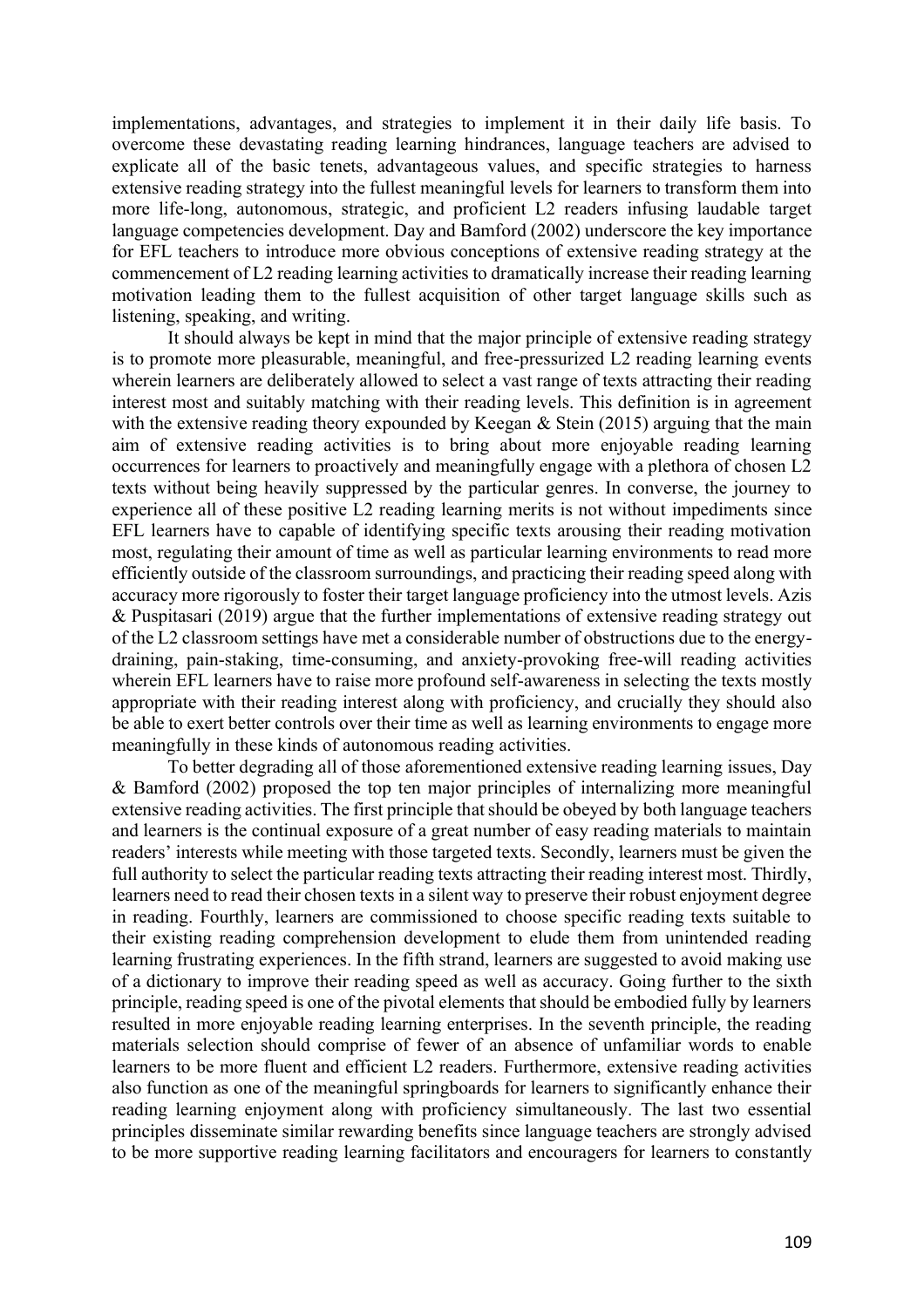implementations, advantages, and strategies to implement it in their daily life basis. To overcome these devastating reading learning hindrances, language teachers are advised to explicate all of the basic tenets, advantageous values, and specific strategies to harness extensive reading strategy into the fullest meaningful levels for learners to transform them into more life-long, autonomous, strategic, and proficient L2 readers infusing laudable target language competencies development. Day and Bamford (2002) underscore the key importance for EFL teachers to introduce more obvious conceptions of extensive reading strategy at the commencement of L2 reading learning activities to dramatically increase their reading learning motivation leading them to the fullest acquisition of other target language skills such as listening, speaking, and writing.

It should always be kept in mind that the major principle of extensive reading strategy is to promote more pleasurable, meaningful, and free-pressurized L2 reading learning events wherein learners are deliberately allowed to select a vast range of texts attracting their reading interest most and suitably matching with their reading levels. This definition is in agreement with the extensive reading theory expounded by Keegan & Stein (2015) arguing that the main aim of extensive reading activities is to bring about more enjoyable reading learning occurrences for learners to proactively and meaningfully engage with a plethora of chosen L2 texts without being heavily suppressed by the particular genres. In converse, the journey to experience all of these positive L2 reading learning merits is not without impediments since EFL learners have to capable of identifying specific texts arousing their reading motivation most, regulating their amount of time as well as particular learning environments to read more efficiently outside of the classroom surroundings, and practicing their reading speed along with accuracy more rigorously to foster their target language proficiency into the utmost levels. Azis & Puspitasari (2019) argue that the further implementations of extensive reading strategy out of the L2 classroom settings have met a considerable number of obstructions due to the energydraining, pain-staking, time-consuming, and anxiety-provoking free-will reading activities wherein EFL learners have to raise more profound self-awareness in selecting the texts mostly appropriate with their reading interest along with proficiency, and crucially they should also be able to exert better controls over their time as well as learning environments to engage more meaningfully in these kinds of autonomous reading activities.

To better degrading all of those aforementioned extensive reading learning issues, Day & Bamford (2002) proposed the top ten major principles of internalizing more meaningful extensive reading activities. The first principle that should be obeyed by both language teachers and learners is the continual exposure of a great number of easy reading materials to maintain readers' interests while meeting with those targeted texts. Secondly, learners must be given the full authority to select the particular reading texts attracting their reading interest most. Thirdly, learners need to read their chosen texts in a silent way to preserve their robust enjoyment degree in reading. Fourthly, learners are commissioned to choose specific reading texts suitable to their existing reading comprehension development to elude them from unintended reading learning frustrating experiences. In the fifth strand, learners are suggested to avoid making use of a dictionary to improve their reading speed as well as accuracy. Going further to the sixth principle, reading speed is one of the pivotal elements that should be embodied fully by learners resulted in more enjoyable reading learning enterprises. In the seventh principle, the reading materials selection should comprise of fewer of an absence of unfamiliar words to enable learners to be more fluent and efficient L2 readers. Furthermore, extensive reading activities also function as one of the meaningful springboards for learners to significantly enhance their reading learning enjoyment along with proficiency simultaneously. The last two essential principles disseminate similar rewarding benefits since language teachers are strongly advised to be more supportive reading learning facilitators and encouragers for learners to constantly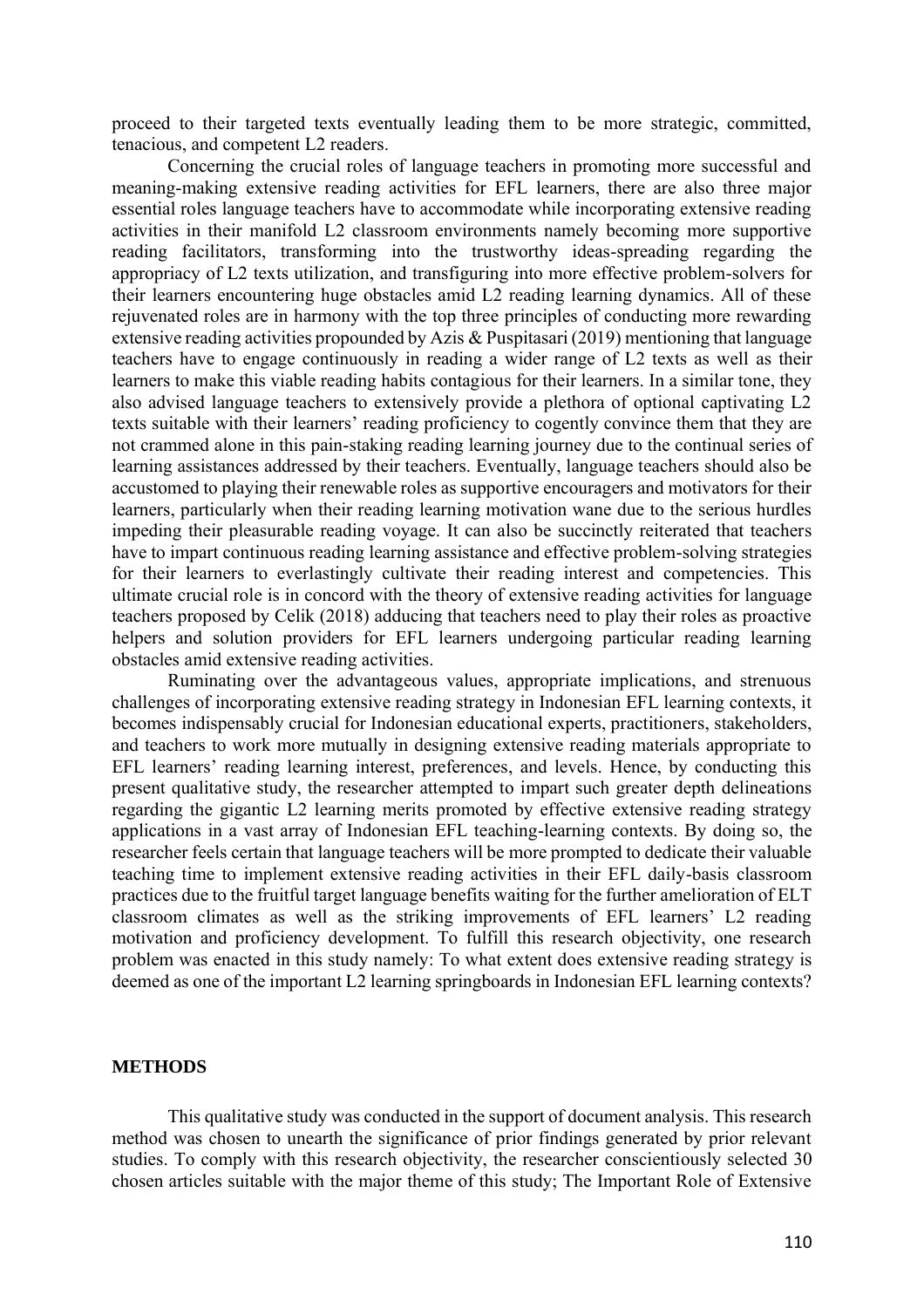proceed to their targeted texts eventually leading them to be more strategic, committed, tenacious, and competent L2 readers.

Concerning the crucial roles of language teachers in promoting more successful and meaning-making extensive reading activities for EFL learners, there are also three major essential roles language teachers have to accommodate while incorporating extensive reading activities in their manifold L2 classroom environments namely becoming more supportive reading facilitators, transforming into the trustworthy ideas-spreading regarding the appropriacy of L2 texts utilization, and transfiguring into more effective problem-solvers for their learners encountering huge obstacles amid L2 reading learning dynamics. All of these rejuvenated roles are in harmony with the top three principles of conducting more rewarding extensive reading activities propounded by Azis & Puspitasari (2019) mentioning that language teachers have to engage continuously in reading a wider range of L2 texts as well as their learners to make this viable reading habits contagious for their learners. In a similar tone, they also advised language teachers to extensively provide a plethora of optional captivating L2 texts suitable with their learners' reading proficiency to cogently convince them that they are not crammed alone in this pain-staking reading learning journey due to the continual series of learning assistances addressed by their teachers. Eventually, language teachers should also be accustomed to playing their renewable roles as supportive encouragers and motivators for their learners, particularly when their reading learning motivation wane due to the serious hurdles impeding their pleasurable reading voyage. It can also be succinctly reiterated that teachers have to impart continuous reading learning assistance and effective problem-solving strategies for their learners to everlastingly cultivate their reading interest and competencies. This ultimate crucial role is in concord with the theory of extensive reading activities for language teachers proposed by Celik (2018) adducing that teachers need to play their roles as proactive helpers and solution providers for EFL learners undergoing particular reading learning obstacles amid extensive reading activities.

Ruminating over the advantageous values, appropriate implications, and strenuous challenges of incorporating extensive reading strategy in Indonesian EFL learning contexts, it becomes indispensably crucial for Indonesian educational experts, practitioners, stakeholders, and teachers to work more mutually in designing extensive reading materials appropriate to EFL learners' reading learning interest, preferences, and levels. Hence, by conducting this present qualitative study, the researcher attempted to impart such greater depth delineations regarding the gigantic L2 learning merits promoted by effective extensive reading strategy applications in a vast array of Indonesian EFL teaching-learning contexts. By doing so, the researcher feels certain that language teachers will be more prompted to dedicate their valuable teaching time to implement extensive reading activities in their EFL daily-basis classroom practices due to the fruitful target language benefits waiting for the further amelioration of ELT classroom climates as well as the striking improvements of EFL learners' L2 reading motivation and proficiency development. To fulfill this research objectivity, one research problem was enacted in this study namely: To what extent does extensive reading strategy is deemed as one of the important L2 learning springboards in Indonesian EFL learning contexts?

## **METHODS**

This qualitative study was conducted in the support of document analysis. This research method was chosen to unearth the significance of prior findings generated by prior relevant studies. To comply with this research objectivity, the researcher conscientiously selected 30 chosen articles suitable with the major theme of this study; The Important Role of Extensive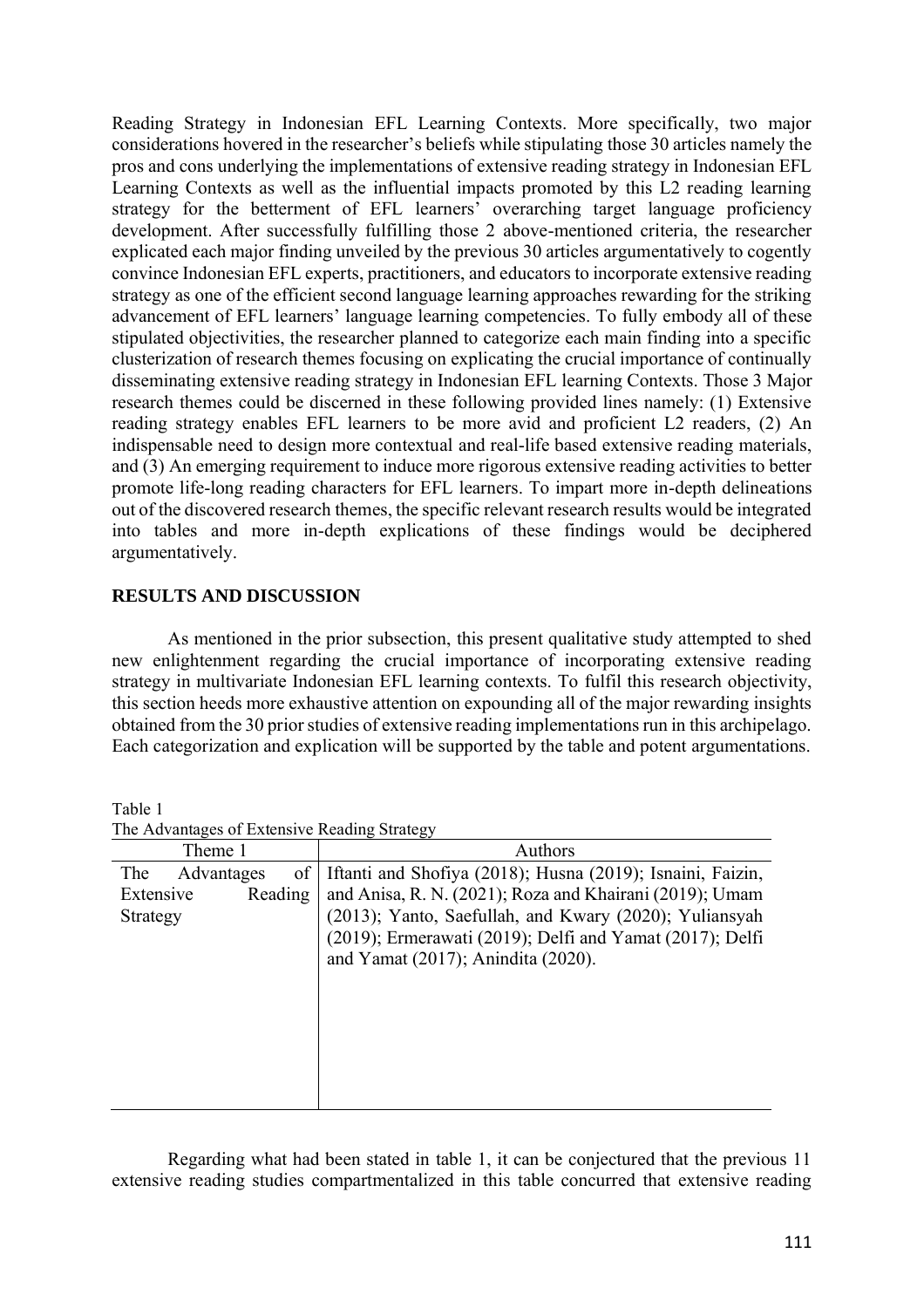Reading Strategy in Indonesian EFL Learning Contexts. More specifically, two major considerations hovered in the researcher's beliefs while stipulating those 30 articles namely the pros and cons underlying the implementations of extensive reading strategy in Indonesian EFL Learning Contexts as well as the influential impacts promoted by this L2 reading learning strategy for the betterment of EFL learners' overarching target language proficiency development. After successfully fulfilling those 2 above-mentioned criteria, the researcher explicated each major finding unveiled by the previous 30 articles argumentatively to cogently convince Indonesian EFL experts, practitioners, and educators to incorporate extensive reading strategy as one of the efficient second language learning approaches rewarding for the striking advancement of EFL learners' language learning competencies. To fully embody all of these stipulated objectivities, the researcher planned to categorize each main finding into a specific clusterization of research themes focusing on explicating the crucial importance of continually disseminating extensive reading strategy in Indonesian EFL learning Contexts. Those 3 Major research themes could be discerned in these following provided lines namely: (1) Extensive reading strategy enables EFL learners to be more avid and proficient L2 readers, (2) An indispensable need to design more contextual and real-life based extensive reading materials, and (3) An emerging requirement to induce more rigorous extensive reading activities to better promote life-long reading characters for EFL learners. To impart more in-depth delineations out of the discovered research themes, the specific relevant research results would be integrated into tables and more in-depth explications of these findings would be deciphered argumentatively.

# **RESULTS AND DISCUSSION**

As mentioned in the prior subsection, this present qualitative study attempted to shed new enlightenment regarding the crucial importance of incorporating extensive reading strategy in multivariate Indonesian EFL learning contexts. To fulfil this research objectivity, this section heeds more exhaustive attention on expounding all of the major rewarding insights obtained from the 30 prior studies of extensive reading implementations run in this archipelago. Each categorization and explication will be supported by the table and potent argumentations.

| Theme 1              |    | Authors                                                    |
|----------------------|----|------------------------------------------------------------|
| The<br>Advantages    | of | Iftanti and Shofiya (2018); Husna (2019); Isnaini, Faizin, |
| Extensive<br>Reading |    | and Anisa, R. N. (2021); Roza and Khairani (2019); Umam    |
| Strategy             |    | (2013); Yanto, Saefullah, and Kwary (2020); Yuliansyah     |
|                      |    | (2019); Ermerawati (2019); Delfi and Yamat (2017); Delfi   |
|                      |    | and Yamat (2017); Anindita (2020).                         |
|                      |    |                                                            |
|                      |    |                                                            |
|                      |    |                                                            |
|                      |    |                                                            |
|                      |    |                                                            |
|                      |    |                                                            |
|                      |    |                                                            |

Table 1 The Advantages of Extensive Reading Strategy

Regarding what had been stated in table 1, it can be conjectured that the previous 11 extensive reading studies compartmentalized in this table concurred that extensive reading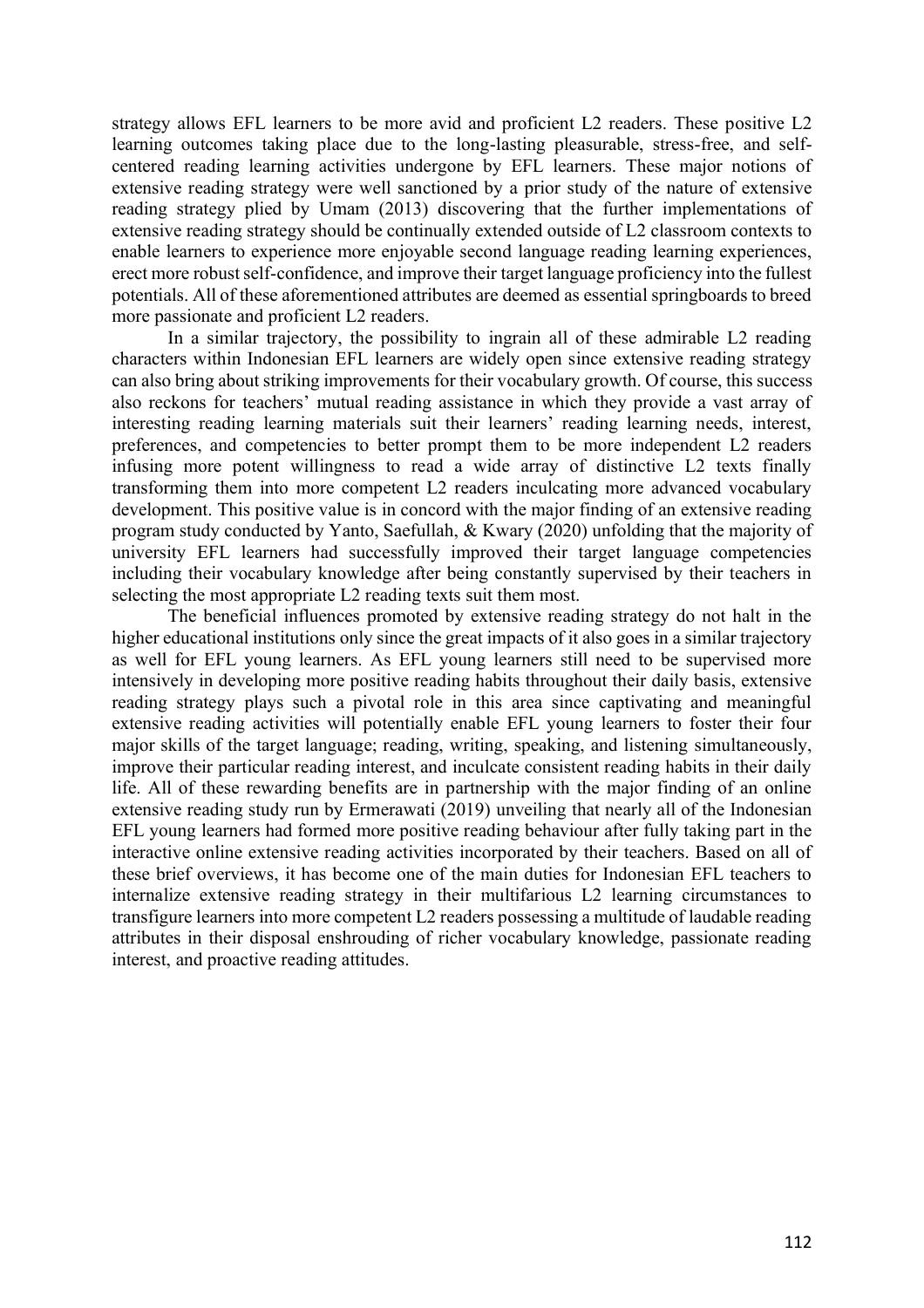strategy allows EFL learners to be more avid and proficient L2 readers. These positive L2 learning outcomes taking place due to the long-lasting pleasurable, stress-free, and selfcentered reading learning activities undergone by EFL learners. These major notions of extensive reading strategy were well sanctioned by a prior study of the nature of extensive reading strategy plied by Umam (2013) discovering that the further implementations of extensive reading strategy should be continually extended outside of L2 classroom contexts to enable learners to experience more enjoyable second language reading learning experiences, erect more robust self-confidence, and improve their target language proficiency into the fullest potentials. All of these aforementioned attributes are deemed as essential springboards to breed more passionate and proficient L2 readers.

In a similar trajectory, the possibility to ingrain all of these admirable L2 reading characters within Indonesian EFL learners are widely open since extensive reading strategy can also bring about striking improvements for their vocabulary growth. Of course, this success also reckons for teachers' mutual reading assistance in which they provide a vast array of interesting reading learning materials suit their learners' reading learning needs, interest, preferences, and competencies to better prompt them to be more independent L2 readers infusing more potent willingness to read a wide array of distinctive L2 texts finally transforming them into more competent L2 readers inculcating more advanced vocabulary development. This positive value is in concord with the major finding of an extensive reading program study conducted by Yanto, Saefullah, & Kwary (2020) unfolding that the majority of university EFL learners had successfully improved their target language competencies including their vocabulary knowledge after being constantly supervised by their teachers in selecting the most appropriate L2 reading texts suit them most.

The beneficial influences promoted by extensive reading strategy do not halt in the higher educational institutions only since the great impacts of it also goes in a similar trajectory as well for EFL young learners. As EFL young learners still need to be supervised more intensively in developing more positive reading habits throughout their daily basis, extensive reading strategy plays such a pivotal role in this area since captivating and meaningful extensive reading activities will potentially enable EFL young learners to foster their four major skills of the target language; reading, writing, speaking, and listening simultaneously, improve their particular reading interest, and inculcate consistent reading habits in their daily life. All of these rewarding benefits are in partnership with the major finding of an online extensive reading study run by Ermerawati (2019) unveiling that nearly all of the Indonesian EFL young learners had formed more positive reading behaviour after fully taking part in the interactive online extensive reading activities incorporated by their teachers. Based on all of these brief overviews, it has become one of the main duties for Indonesian EFL teachers to internalize extensive reading strategy in their multifarious L2 learning circumstances to transfigure learners into more competent L2 readers possessing a multitude of laudable reading attributes in their disposal enshrouding of richer vocabulary knowledge, passionate reading interest, and proactive reading attitudes.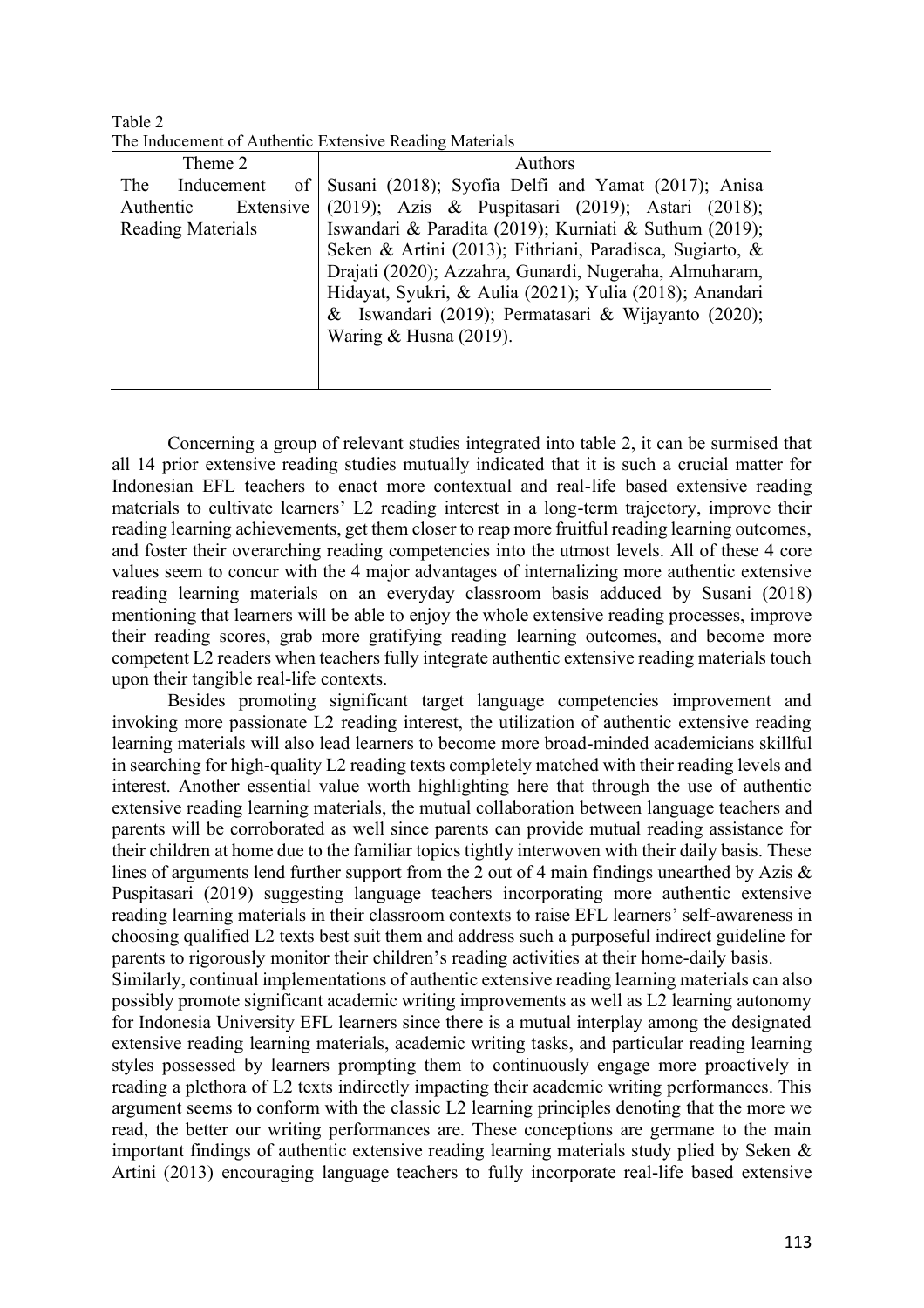Table 2 The Inducement of Authentic Extensive Reading Materials

| Theme 2                  | Authors                                                  |
|--------------------------|----------------------------------------------------------|
| of<br>The<br>Inducement  | Susani (2018); Syofia Delfi and Yamat (2017); Anisa      |
| Extensive<br>Authentic   | (2019); Azis & Puspitasari (2019); Astari (2018);        |
| <b>Reading Materials</b> | Iswandari & Paradita (2019); Kurniati & Suthum (2019);   |
|                          | Seken & Artini (2013); Fithriani, Paradisca, Sugiarto, & |
|                          | Drajati (2020); Azzahra, Gunardi, Nugeraha, Almuharam,   |
|                          | Hidayat, Syukri, & Aulia (2021); Yulia (2018); Anandari  |
|                          | & Iswandari (2019); Permatasari & Wijayanto (2020);      |
|                          | Waring $&$ Husna (2019).                                 |
|                          |                                                          |
|                          |                                                          |

Concerning a group of relevant studies integrated into table 2, it can be surmised that all 14 prior extensive reading studies mutually indicated that it is such a crucial matter for Indonesian EFL teachers to enact more contextual and real-life based extensive reading materials to cultivate learners' L2 reading interest in a long-term trajectory, improve their reading learning achievements, get them closer to reap more fruitful reading learning outcomes, and foster their overarching reading competencies into the utmost levels. All of these 4 core values seem to concur with the 4 major advantages of internalizing more authentic extensive reading learning materials on an everyday classroom basis adduced by Susani (2018) mentioning that learners will be able to enjoy the whole extensive reading processes, improve their reading scores, grab more gratifying reading learning outcomes, and become more competent L2 readers when teachers fully integrate authentic extensive reading materials touch upon their tangible real-life contexts.

Besides promoting significant target language competencies improvement and invoking more passionate L2 reading interest, the utilization of authentic extensive reading learning materials will also lead learners to become more broad-minded academicians skillful in searching for high-quality L2 reading texts completely matched with their reading levels and interest. Another essential value worth highlighting here that through the use of authentic extensive reading learning materials, the mutual collaboration between language teachers and parents will be corroborated as well since parents can provide mutual reading assistance for their children at home due to the familiar topics tightly interwoven with their daily basis. These lines of arguments lend further support from the 2 out of 4 main findings unearthed by Azis & Puspitasari (2019) suggesting language teachers incorporating more authentic extensive reading learning materials in their classroom contexts to raise EFL learners' self-awareness in choosing qualified L2 texts best suit them and address such a purposeful indirect guideline for parents to rigorously monitor their children's reading activities at their home-daily basis. Similarly, continual implementations of authentic extensive reading learning materials can also

possibly promote significant academic writing improvements as well as L2 learning autonomy for Indonesia University EFL learners since there is a mutual interplay among the designated extensive reading learning materials, academic writing tasks, and particular reading learning styles possessed by learners prompting them to continuously engage more proactively in reading a plethora of L2 texts indirectly impacting their academic writing performances. This argument seems to conform with the classic L2 learning principles denoting that the more we read, the better our writing performances are. These conceptions are germane to the main important findings of authentic extensive reading learning materials study plied by Seken & Artini (2013) encouraging language teachers to fully incorporate real-life based extensive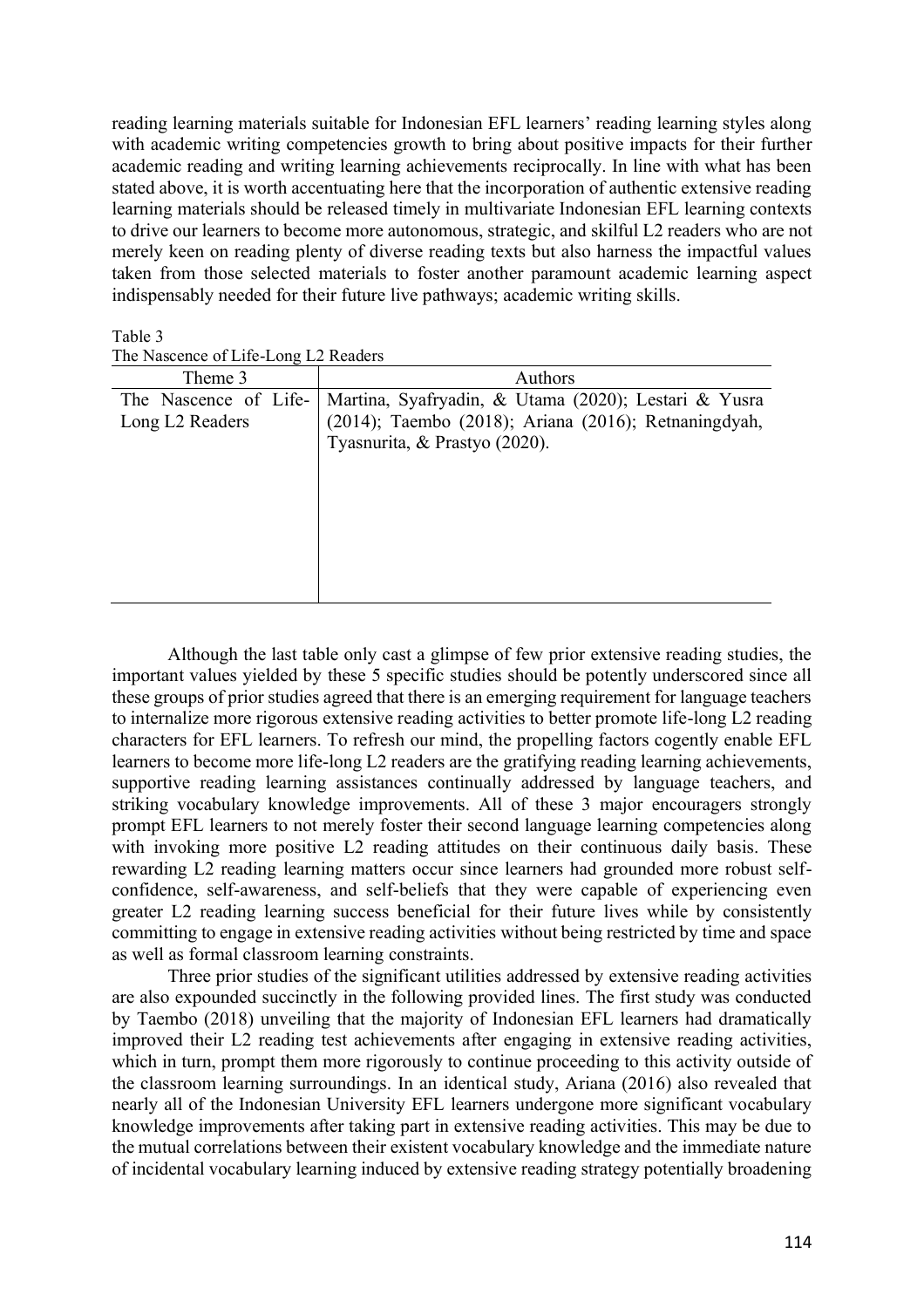reading learning materials suitable for Indonesian EFL learners' reading learning styles along with academic writing competencies growth to bring about positive impacts for their further academic reading and writing learning achievements reciprocally. In line with what has been stated above, it is worth accentuating here that the incorporation of authentic extensive reading learning materials should be released timely in multivariate Indonesian EFL learning contexts to drive our learners to become more autonomous, strategic, and skilful L2 readers who are not merely keen on reading plenty of diverse reading texts but also harness the impactful values taken from those selected materials to foster another paramount academic learning aspect indispensably needed for their future live pathways; academic writing skills.

Table 3 The Nascence of Life-Long L2 Readers

| Theme 3                                              | Authors                                                                                                                                       |
|------------------------------------------------------|-----------------------------------------------------------------------------------------------------------------------------------------------|
| The Nascence of Life-<br>Long L <sub>2</sub> Readers | Martina, Syafryadin, & Utama (2020); Lestari & Yusra<br>(2014); Taembo (2018); Ariana (2016); Retnaningdyah,<br>Tyasnurita, & Prastyo (2020). |
|                                                      |                                                                                                                                               |

Although the last table only cast a glimpse of few prior extensive reading studies, the important values yielded by these 5 specific studies should be potently underscored since all these groups of prior studies agreed that there is an emerging requirement for language teachers to internalize more rigorous extensive reading activities to better promote life-long L2 reading characters for EFL learners. To refresh our mind, the propelling factors cogently enable EFL learners to become more life-long L2 readers are the gratifying reading learning achievements, supportive reading learning assistances continually addressed by language teachers, and striking vocabulary knowledge improvements. All of these 3 major encouragers strongly prompt EFL learners to not merely foster their second language learning competencies along with invoking more positive L2 reading attitudes on their continuous daily basis. These rewarding L2 reading learning matters occur since learners had grounded more robust selfconfidence, self-awareness, and self-beliefs that they were capable of experiencing even greater L2 reading learning success beneficial for their future lives while by consistently committing to engage in extensive reading activities without being restricted by time and space as well as formal classroom learning constraints.

Three prior studies of the significant utilities addressed by extensive reading activities are also expounded succinctly in the following provided lines. The first study was conducted by Taembo (2018) unveiling that the majority of Indonesian EFL learners had dramatically improved their L2 reading test achievements after engaging in extensive reading activities, which in turn, prompt them more rigorously to continue proceeding to this activity outside of the classroom learning surroundings. In an identical study, Ariana (2016) also revealed that nearly all of the Indonesian University EFL learners undergone more significant vocabulary knowledge improvements after taking part in extensive reading activities. This may be due to the mutual correlations between their existent vocabulary knowledge and the immediate nature of incidental vocabulary learning induced by extensive reading strategy potentially broadening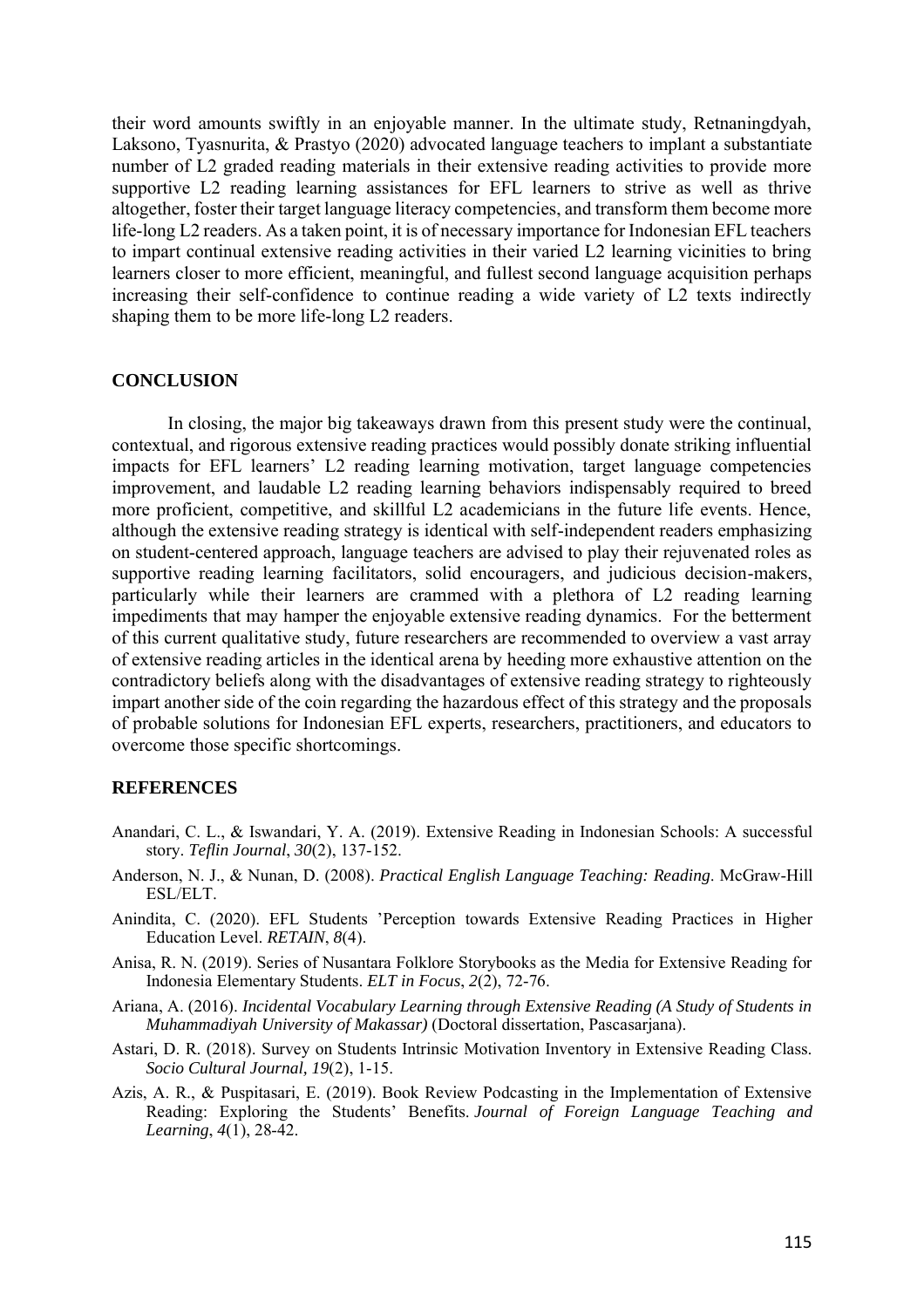their word amounts swiftly in an enjoyable manner. In the ultimate study, Retnaningdyah, Laksono, Tyasnurita, & Prastyo (2020) advocated language teachers to implant a substantiate number of L2 graded reading materials in their extensive reading activities to provide more supportive L2 reading learning assistances for EFL learners to strive as well as thrive altogether, foster their target language literacy competencies, and transform them become more life-long L2 readers. As a taken point, it is of necessary importance for Indonesian EFL teachers to impart continual extensive reading activities in their varied L2 learning vicinities to bring learners closer to more efficient, meaningful, and fullest second language acquisition perhaps increasing their self-confidence to continue reading a wide variety of L2 texts indirectly shaping them to be more life-long L2 readers.

### **CONCLUSION**

In closing, the major big takeaways drawn from this present study were the continual, contextual, and rigorous extensive reading practices would possibly donate striking influential impacts for EFL learners' L2 reading learning motivation, target language competencies improvement, and laudable L2 reading learning behaviors indispensably required to breed more proficient, competitive, and skillful L2 academicians in the future life events. Hence, although the extensive reading strategy is identical with self-independent readers emphasizing on student-centered approach, language teachers are advised to play their rejuvenated roles as supportive reading learning facilitators, solid encouragers, and judicious decision-makers, particularly while their learners are crammed with a plethora of L2 reading learning impediments that may hamper the enjoyable extensive reading dynamics. For the betterment of this current qualitative study, future researchers are recommended to overview a vast array of extensive reading articles in the identical arena by heeding more exhaustive attention on the contradictory beliefs along with the disadvantages of extensive reading strategy to righteously impart another side of the coin regarding the hazardous effect of this strategy and the proposals of probable solutions for Indonesian EFL experts, researchers, practitioners, and educators to overcome those specific shortcomings.

## **REFERENCES**

- Anandari, C. L., & Iswandari, Y. A. (2019). Extensive Reading in Indonesian Schools: A successful story. *Teflin Journal*, *30*(2), 137-152.
- Anderson, N. J., & Nunan, D. (2008). *Practical English Language Teaching: Reading*. McGraw-Hill ESL/ELT.
- Anindita, C. (2020). EFL Students 'Perception towards Extensive Reading Practices in Higher Education Level. *RETAIN*, *8*(4).
- Anisa, R. N. (2019). Series of Nusantara Folklore Storybooks as the Media for Extensive Reading for Indonesia Elementary Students. *ELT in Focus*, *2*(2), 72-76.
- Ariana, A. (2016). *Incidental Vocabulary Learning through Extensive Reading (A Study of Students in Muhammadiyah University of Makassar)* (Doctoral dissertation, Pascasarjana).
- Astari, D. R. (2018). Survey on Students Intrinsic Motivation Inventory in Extensive Reading Class. *Socio Cultural Journal, 19*(2), 1-15.
- Azis, A. R., & Puspitasari, E. (2019). Book Review Podcasting in the Implementation of Extensive Reading: Exploring the Students' Benefits. *Journal of Foreign Language Teaching and Learning*, *4*(1), 28-42.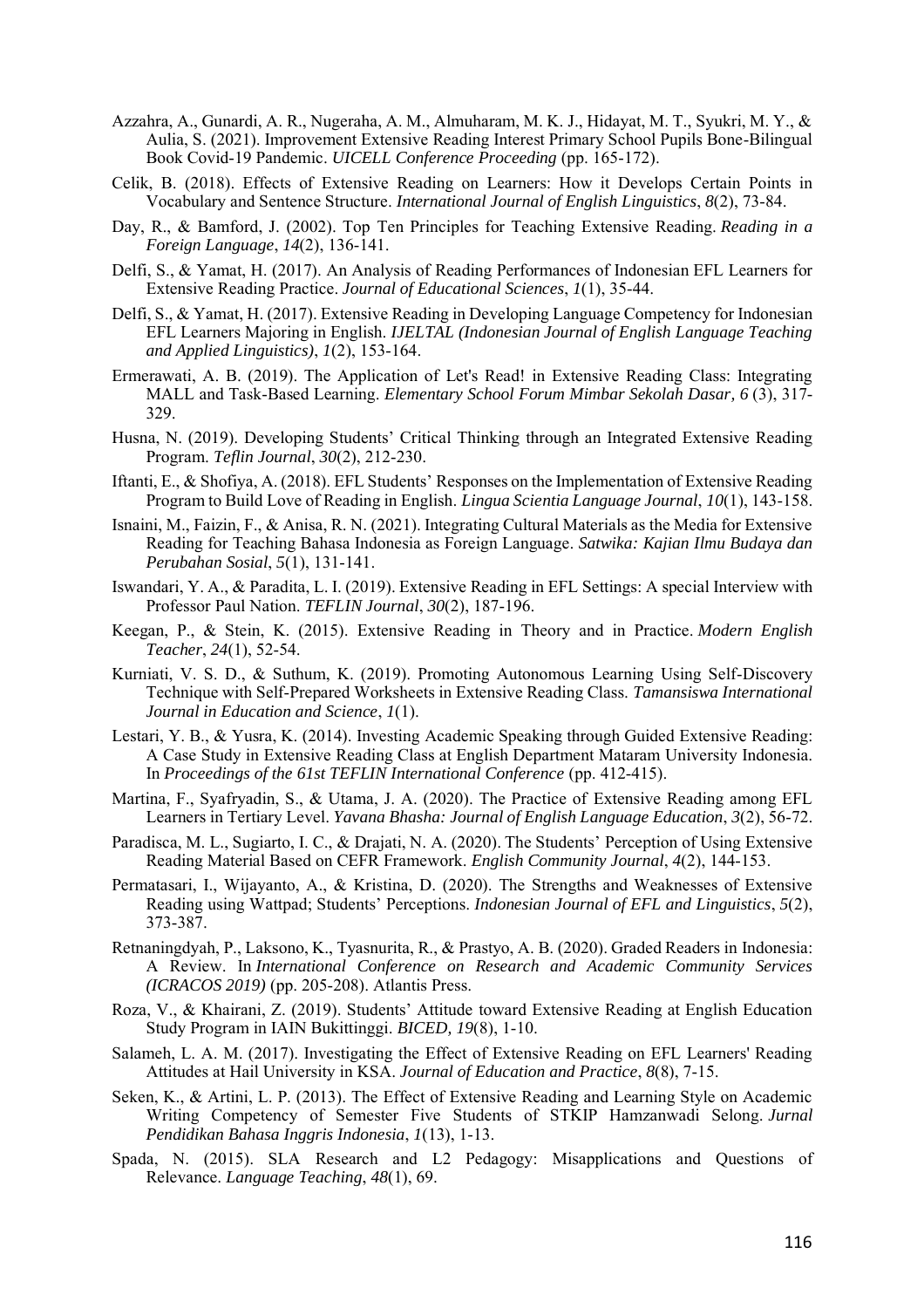- Azzahra, A., Gunardi, A. R., Nugeraha, A. M., Almuharam, M. K. J., Hidayat, M. T., Syukri, M. Y., & Aulia, S. (2021). Improvement Extensive Reading Interest Primary School Pupils Bone-Bilingual Book Covid-19 Pandemic. *UICELL Conference Proceeding* (pp. 165-172).
- Celik, B. (2018). Effects of Extensive Reading on Learners: How it Develops Certain Points in Vocabulary and Sentence Structure. *International Journal of English Linguistics*, *8*(2), 73-84.
- Day, R., & Bamford, J. (2002). Top Ten Principles for Teaching Extensive Reading. *Reading in a Foreign Language*, *14*(2), 136-141.
- Delfi, S., & Yamat, H. (2017). An Analysis of Reading Performances of Indonesian EFL Learners for Extensive Reading Practice. *Journal of Educational Sciences*, *1*(1), 35-44.
- Delfi, S., & Yamat, H. (2017). Extensive Reading in Developing Language Competency for Indonesian EFL Learners Majoring in English. *IJELTAL (Indonesian Journal of English Language Teaching and Applied Linguistics)*, *1*(2), 153-164.
- Ermerawati, A. B. (2019). The Application of Let's Read! in Extensive Reading Class: Integrating MALL and Task-Based Learning. *Elementary School Forum Mimbar Sekolah Dasar, 6* (3), 317- 329.
- Husna, N. (2019). Developing Students' Critical Thinking through an Integrated Extensive Reading Program. *Teflin Journal*, *30*(2), 212-230.
- Iftanti, E., & Shofiya, A. (2018). EFL Students' Responses on the Implementation of Extensive Reading Program to Build Love of Reading in English. *Lingua Scientia Language Journal*, *10*(1), 143-158.
- Isnaini, M., Faizin, F., & Anisa, R. N. (2021). Integrating Cultural Materials as the Media for Extensive Reading for Teaching Bahasa Indonesia as Foreign Language. *Satwika: Kajian Ilmu Budaya dan Perubahan Sosial*, *5*(1), 131-141.
- Iswandari, Y. A., & Paradita, L. I. (2019). Extensive Reading in EFL Settings: A special Interview with Professor Paul Nation. *TEFLIN Journal*, *30*(2), 187-196.
- Keegan, P., & Stein, K. (2015). Extensive Reading in Theory and in Practice. *Modern English Teacher*, *24*(1), 52-54.
- Kurniati, V. S. D., & Suthum, K. (2019). Promoting Autonomous Learning Using Self-Discovery Technique with Self-Prepared Worksheets in Extensive Reading Class. *Tamansiswa International Journal in Education and Science*, *1*(1).
- Lestari, Y. B., & Yusra, K. (2014). Investing Academic Speaking through Guided Extensive Reading: A Case Study in Extensive Reading Class at English Department Mataram University Indonesia. In *Proceedings of the 61st TEFLIN International Conference* (pp. 412-415).
- Martina, F., Syafryadin, S., & Utama, J. A. (2020). The Practice of Extensive Reading among EFL Learners in Tertiary Level. *Yavana Bhasha: Journal of English Language Education*, *3*(2), 56-72.
- Paradisca, M. L., Sugiarto, I. C., & Drajati, N. A. (2020). The Students' Perception of Using Extensive Reading Material Based on CEFR Framework. *English Community Journal*, *4*(2), 144-153.
- Permatasari, I., Wijayanto, A., & Kristina, D. (2020). The Strengths and Weaknesses of Extensive Reading using Wattpad; Students' Perceptions. *Indonesian Journal of EFL and Linguistics*, *5*(2), 373-387.
- Retnaningdyah, P., Laksono, K., Tyasnurita, R., & Prastyo, A. B. (2020). Graded Readers in Indonesia: A Review. In *International Conference on Research and Academic Community Services (ICRACOS 2019)* (pp. 205-208). Atlantis Press.
- Roza, V., & Khairani, Z. (2019). Students' Attitude toward Extensive Reading at English Education Study Program in IAIN Bukittinggi. *BICED, 19*(8), 1-10.
- Salameh, L. A. M. (2017). Investigating the Effect of Extensive Reading on EFL Learners' Reading Attitudes at Hail University in KSA. *Journal of Education and Practice*, *8*(8), 7-15.
- Seken, K., & Artini, L. P. (2013). The Effect of Extensive Reading and Learning Style on Academic Writing Competency of Semester Five Students of STKIP Hamzanwadi Selong. *Jurnal Pendidikan Bahasa Inggris Indonesia*, *1*(13), 1-13.
- Spada, N. (2015). SLA Research and L2 Pedagogy: Misapplications and Questions of Relevance. *Language Teaching*, *48*(1), 69.